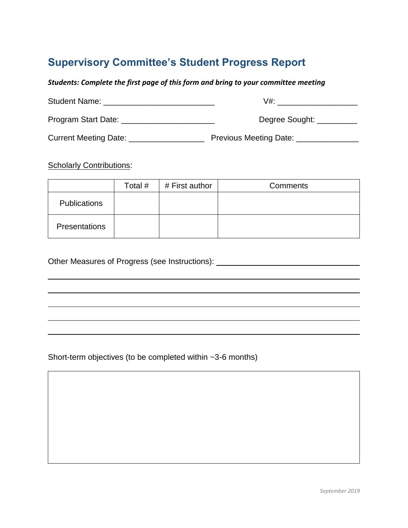## **Supervisory Committee's Student Progress Report**

*Students: Complete the first page of this form and bring to your committee meeting*

| <b>Student Name:</b>  | V#:                    |
|-----------------------|------------------------|
| Program Start Date:   | Degree Sought:         |
| Current Meeting Date: | Previous Meeting Date: |

**Scholarly Contributions:** 

|                      | Total # | # First author | <b>Comments</b> |
|----------------------|---------|----------------|-----------------|
| <b>Publications</b>  |         |                |                 |
| <b>Presentations</b> |         |                |                 |

Other Measures of Progress (see Instructions): \_\_\_\_\_\_\_\_\_\_\_\_\_\_\_\_\_\_\_\_\_\_\_\_\_\_\_\_\_\_\_\_\_

Short-term objectives (to be completed within ~3-6 months)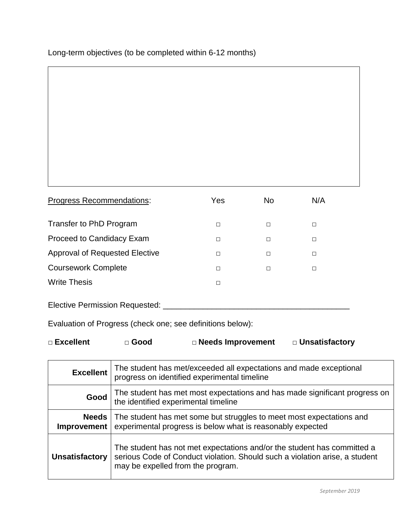Long-term objectives (to be completed within 6-12 months)

| <b>Progress Recommendations:</b>      | Yes    | N <sub>o</sub> | N/A |
|---------------------------------------|--------|----------------|-----|
| Transfer to PhD Program               | П      | П              | П   |
| Proceed to Candidacy Exam             | П      | П              | П   |
| <b>Approval of Requested Elective</b> | П      | П              | П   |
| <b>Coursework Complete</b>            | П      | □              | П   |
| <b>Write Thesis</b>                   | $\Box$ |                |     |

Evaluation of Progress (check one; see definitions below):

| $\square$ Excellent | $\square$ Good | □ Needs Improvement | □ Unsatisfactory |
|---------------------|----------------|---------------------|------------------|
|---------------------|----------------|---------------------|------------------|

| <b>Excellent</b>              | The student has met/exceeded all expectations and made exceptional<br>progress on identified experimental timeline                                                                          |
|-------------------------------|---------------------------------------------------------------------------------------------------------------------------------------------------------------------------------------------|
| Good                          | The student has met most expectations and has made significant progress on<br>the identified experimental timeline                                                                          |
| Needs  <br><b>Improvement</b> | The student has met some but struggles to meet most expectations and<br>experimental progress is below what is reasonably expected                                                          |
| <b>Unsatisfactory</b>         | The student has not met expectations and/or the student has committed a<br>serious Code of Conduct violation. Should such a violation arise, a student<br>may be expelled from the program. |